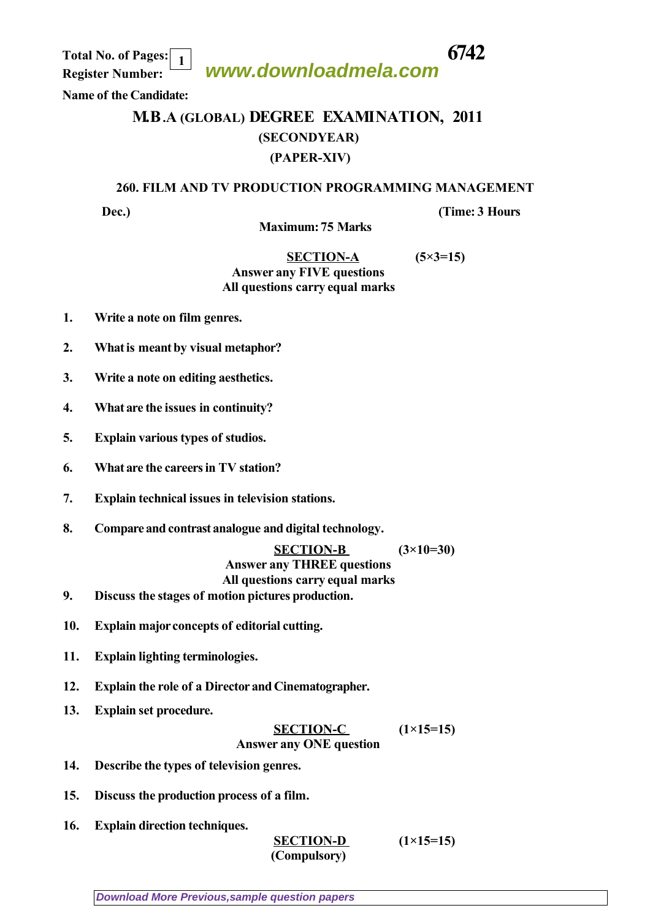**www.downloadmela.com**

 **Total No. of Pages: 6742 Register Number: 1**

## **Name of the Candidate:**

## **M.B.A (GLOBAL) DEGREE EXAMINATION, 2011 (SECONDYEAR) (PAPER-XIV)**

## **260. FILM AND TV PRODUCTION PROGRAMMING MANAGEMENT**

**Dec.**) *CONS*  $(Time: 3)$  *Hours*  $(Time: 3)$ 

 **Maximum: 75 Marks** 

## **SECTION-A (5×3=15)** *Answer any FIVE questions All questions carry equal marks*

- **1. Write a note on film genres.**
- **2. What is meant by visual metaphor?**
- **3. Write a note on editing aesthetics.**
- **4. What are the issues in continuity?**
- **5. Explain various types of studios.**
- **6. What are the careers in TV station?**
- **7. Explain technical issues in television stations.**
- **8. Compare and contrast analogue and digital technology.**

 **SECTION-B (3×10=30)** *Answer any THREE questions*

*All questions carry equal marks*

- **9. Discuss the stages of motion pictures production.**
- **10. Explain major concepts of editorial cutting.**
- **11. Explain lighting terminologies.**
- **12. Explain the role of a Director and Cinematographer.**
- **13. Explain set procedure.**

SECTION-C 
$$
(1 \times 15=15)
$$
  
Answer any ONE question

- **14. Describe the types of television genres.**
- **15. Discuss the production process of a film.**
- **16. Explain direction techniques.**

 **SECTION-D (1×15=15)** *(Compulsory)*